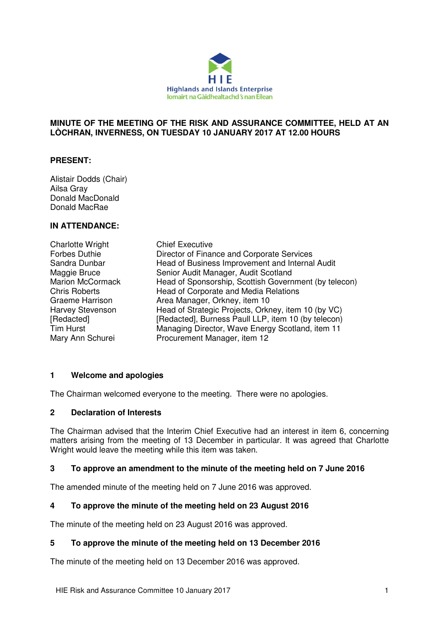

## **MINUTE OF THE MEETING OF THE RISK AND ASSURANCE COMMITTEE, HELD AT AN LÒCHRAN, INVERNESS, ON TUESDAY 10 JANUARY 2017 AT 12.00 HOURS**

# **PRESENT:**

Alistair Dodds (Chair) Ailsa Gray Donald MacDonald Donald MacRae

# **IN ATTENDANCE:**

| <b>Charlotte Wright</b> | <b>Chief Executive</b>                                |
|-------------------------|-------------------------------------------------------|
| Forbes Duthie           | Director of Finance and Corporate Services            |
| Sandra Dunbar           | Head of Business Improvement and Internal Audit       |
| Maggie Bruce            | Senior Audit Manager, Audit Scotland                  |
| <b>Marion McCormack</b> | Head of Sponsorship, Scottish Government (by telecon) |
| <b>Chris Roberts</b>    | Head of Corporate and Media Relations                 |
| <b>Graeme Harrison</b>  | Area Manager, Orkney, item 10                         |
| <b>Harvey Stevenson</b> | Head of Strategic Projects, Orkney, item 10 (by VC)   |
| [Redacted]              | [Redacted], Burness Paull LLP, item 10 (by telecon)   |
| <b>Tim Hurst</b>        | Managing Director, Wave Energy Scotland, item 11      |
| Mary Ann Schurei        | Procurement Manager, item 12                          |

# **1 Welcome and apologies**

The Chairman welcomed everyone to the meeting. There were no apologies.

## **2 Declaration of Interests**

The Chairman advised that the Interim Chief Executive had an interest in item 6, concerning matters arising from the meeting of 13 December in particular. It was agreed that Charlotte Wright would leave the meeting while this item was taken.

## **3 To approve an amendment to the minute of the meeting held on 7 June 2016**

The amended minute of the meeting held on 7 June 2016 was approved.

# **4 To approve the minute of the meeting held on 23 August 2016**

The minute of the meeting held on 23 August 2016 was approved.

#### **5 To approve the minute of the meeting held on 13 December 2016**

The minute of the meeting held on 13 December 2016 was approved.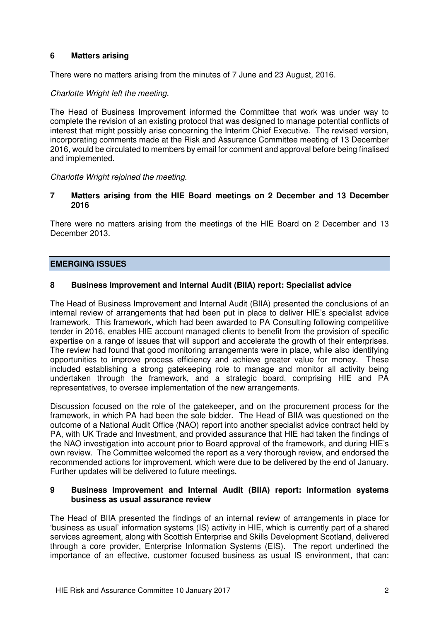# **6 Matters arising**

There were no matters arising from the minutes of 7 June and 23 August, 2016.

## Charlotte Wright left the meeting.

The Head of Business Improvement informed the Committee that work was under way to complete the revision of an existing protocol that was designed to manage potential conflicts of interest that might possibly arise concerning the Interim Chief Executive. The revised version, incorporating comments made at the Risk and Assurance Committee meeting of 13 December 2016, would be circulated to members by email for comment and approval before being finalised and implemented.

## Charlotte Wright rejoined the meeting.

## **7 Matters arising from the HIE Board meetings on 2 December and 13 December 2016**

There were no matters arising from the meetings of the HIE Board on 2 December and 13 December 2013.

# **EMERGING ISSUES**

# **8 Business Improvement and Internal Audit (BIIA) report: Specialist advice**

The Head of Business Improvement and Internal Audit (BIIA) presented the conclusions of an internal review of arrangements that had been put in place to deliver HIE's specialist advice framework. This framework, which had been awarded to PA Consulting following competitive tender in 2016, enables HIE account managed clients to benefit from the provision of specific expertise on a range of issues that will support and accelerate the growth of their enterprises. The review had found that good monitoring arrangements were in place, while also identifying opportunities to improve process efficiency and achieve greater value for money. These included establishing a strong gatekeeping role to manage and monitor all activity being undertaken through the framework, and a strategic board, comprising HIE and PA representatives, to oversee implementation of the new arrangements.

Discussion focused on the role of the gatekeeper, and on the procurement process for the framework, in which PA had been the sole bidder. The Head of BIIA was questioned on the outcome of a National Audit Office (NAO) report into another specialist advice contract held by PA, with UK Trade and Investment, and provided assurance that HIE had taken the findings of the NAO investigation into account prior to Board approval of the framework, and during HIE's own review. The Committee welcomed the report as a very thorough review, and endorsed the recommended actions for improvement, which were due to be delivered by the end of January. Further updates will be delivered to future meetings.

#### **9 Business Improvement and Internal Audit (BIIA) report: Information systems business as usual assurance review**

The Head of BIIA presented the findings of an internal review of arrangements in place for 'business as usual' information systems (IS) activity in HIE, which is currently part of a shared services agreement, along with Scottish Enterprise and Skills Development Scotland, delivered through a core provider, Enterprise Information Systems (EIS). The report underlined the importance of an effective, customer focused business as usual IS environment, that can: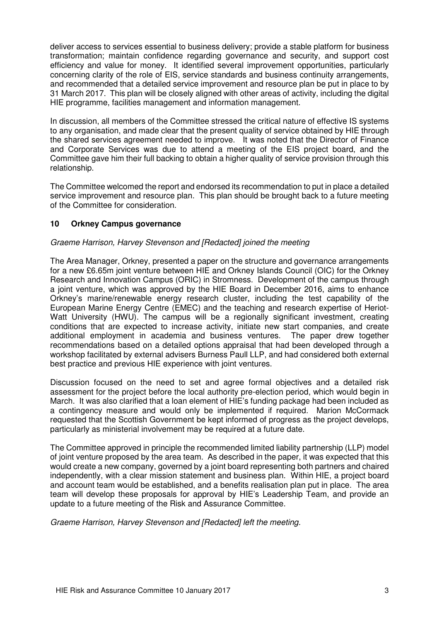deliver access to services essential to business delivery; provide a stable platform for business transformation; maintain confidence regarding governance and security, and support cost efficiency and value for money. It identified several improvement opportunities, particularly concerning clarity of the role of EIS, service standards and business continuity arrangements, and recommended that a detailed service improvement and resource plan be put in place to by 31 March 2017. This plan will be closely aligned with other areas of activity, including the digital HIE programme, facilities management and information management.

In discussion, all members of the Committee stressed the critical nature of effective IS systems to any organisation, and made clear that the present quality of service obtained by HIE through the shared services agreement needed to improve. It was noted that the Director of Finance and Corporate Services was due to attend a meeting of the EIS project board, and the Committee gave him their full backing to obtain a higher quality of service provision through this relationship.

The Committee welcomed the report and endorsed its recommendation to put in place a detailed service improvement and resource plan. This plan should be brought back to a future meeting of the Committee for consideration.

# **10 Orkney Campus governance**

# Graeme Harrison, Harvey Stevenson and [Redacted] joined the meeting

The Area Manager, Orkney, presented a paper on the structure and governance arrangements for a new £6.65m joint venture between HIE and Orkney Islands Council (OIC) for the Orkney Research and Innovation Campus (ORIC) in Stromness. Development of the campus through a joint venture, which was approved by the HIE Board in December 2016, aims to enhance Orkney's marine/renewable energy research cluster, including the test capability of the European Marine Energy Centre (EMEC) and the teaching and research expertise of Heriot-Watt University (HWU). The campus will be a regionally significant investment, creating conditions that are expected to increase activity, initiate new start companies, and create additional employment in academia and business ventures. The paper drew together recommendations based on a detailed options appraisal that had been developed through a workshop facilitated by external advisers Burness Paull LLP, and had considered both external best practice and previous HIE experience with joint ventures.

Discussion focused on the need to set and agree formal objectives and a detailed risk assessment for the project before the local authority pre-election period, which would begin in March. It was also clarified that a loan element of HIE's funding package had been included as a contingency measure and would only be implemented if required. Marion McCormack requested that the Scottish Government be kept informed of progress as the project develops, particularly as ministerial involvement may be required at a future date.

The Committee approved in principle the recommended limited liability partnership (LLP) model of joint venture proposed by the area team. As described in the paper, it was expected that this would create a new company, governed by a joint board representing both partners and chaired independently, with a clear mission statement and business plan. Within HIE, a project board and account team would be established, and a benefits realisation plan put in place. The area team will develop these proposals for approval by HIE's Leadership Team, and provide an update to a future meeting of the Risk and Assurance Committee.

Graeme Harrison, Harvey Stevenson and [Redacted] left the meeting.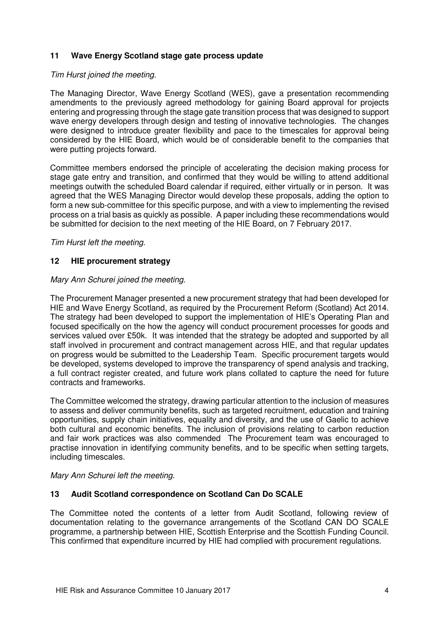# **11 Wave Energy Scotland stage gate process update**

### Tim Hurst joined the meeting.

The Managing Director, Wave Energy Scotland (WES), gave a presentation recommending amendments to the previously agreed methodology for gaining Board approval for projects entering and progressing through the stage gate transition process that was designed to support wave energy developers through design and testing of innovative technologies. The changes were designed to introduce greater flexibility and pace to the timescales for approval being considered by the HIE Board, which would be of considerable benefit to the companies that were putting projects forward.

Committee members endorsed the principle of accelerating the decision making process for stage gate entry and transition, and confirmed that they would be willing to attend additional meetings outwith the scheduled Board calendar if required, either virtually or in person. It was agreed that the WES Managing Director would develop these proposals, adding the option to form a new sub-committee for this specific purpose, and with a view to implementing the revised process on a trial basis as quickly as possible. A paper including these recommendations would be submitted for decision to the next meeting of the HIE Board, on 7 February 2017.

#### Tim Hurst left the meeting.

## **12 HIE procurement strategy**

#### Mary Ann Schurei joined the meeting.

The Procurement Manager presented a new procurement strategy that had been developed for HIE and Wave Energy Scotland, as required by the Procurement Reform (Scotland) Act 2014. The strategy had been developed to support the implementation of HIE's Operating Plan and focused specifically on the how the agency will conduct procurement processes for goods and services valued over £50k. It was intended that the strategy be adopted and supported by all staff involved in procurement and contract management across HIE, and that regular updates on progress would be submitted to the Leadership Team. Specific procurement targets would be developed, systems developed to improve the transparency of spend analysis and tracking, a full contract register created, and future work plans collated to capture the need for future contracts and frameworks.

The Committee welcomed the strategy, drawing particular attention to the inclusion of measures to assess and deliver community benefits, such as targeted recruitment, education and training opportunities, supply chain initiatives, equality and diversity, and the use of Gaelic to achieve both cultural and economic benefits. The inclusion of provisions relating to carbon reduction and fair work practices was also commended The Procurement team was encouraged to practise innovation in identifying community benefits, and to be specific when setting targets, including timescales.

Mary Ann Schurei left the meeting.

## **13 Audit Scotland correspondence on Scotland Can Do SCALE**

The Committee noted the contents of a letter from Audit Scotland, following review of documentation relating to the governance arrangements of the Scotland CAN DO SCALE programme, a partnership between HIE, Scottish Enterprise and the Scottish Funding Council. This confirmed that expenditure incurred by HIE had complied with procurement regulations.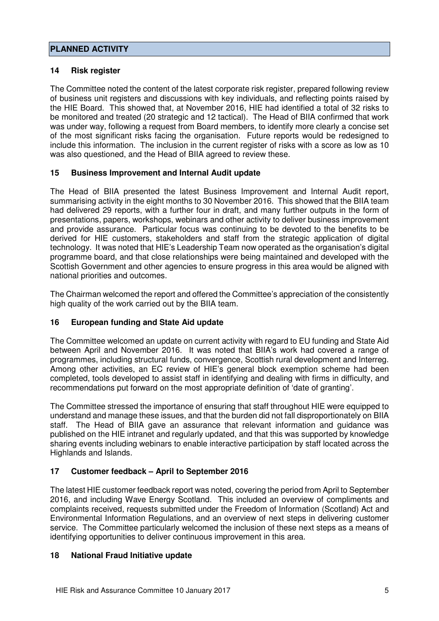# **PLANNED ACTIVITY**

# **14 Risk register**

The Committee noted the content of the latest corporate risk register, prepared following review of business unit registers and discussions with key individuals, and reflecting points raised by the HIE Board. This showed that, at November 2016, HIE had identified a total of 32 risks to be monitored and treated (20 strategic and 12 tactical). The Head of BIIA confirmed that work was under way, following a request from Board members, to identify more clearly a concise set of the most significant risks facing the organisation. Future reports would be redesigned to include this information. The inclusion in the current register of risks with a score as low as 10 was also questioned, and the Head of BIIA agreed to review these.

# **15 Business Improvement and Internal Audit update**

The Head of BIIA presented the latest Business Improvement and Internal Audit report, summarising activity in the eight months to 30 November 2016. This showed that the BIIA team had delivered 29 reports, with a further four in draft, and many further outputs in the form of presentations, papers, workshops, webinars and other activity to deliver business improvement and provide assurance. Particular focus was continuing to be devoted to the benefits to be derived for HIE customers, stakeholders and staff from the strategic application of digital technology. It was noted that HIE's Leadership Team now operated as the organisation's digital programme board, and that close relationships were being maintained and developed with the Scottish Government and other agencies to ensure progress in this area would be aligned with national priorities and outcomes.

The Chairman welcomed the report and offered the Committee's appreciation of the consistently high quality of the work carried out by the BIIA team.

# **16 European funding and State Aid update**

The Committee welcomed an update on current activity with regard to EU funding and State Aid between April and November 2016. It was noted that BIIA's work had covered a range of programmes, including structural funds, convergence, Scottish rural development and Interreg. Among other activities, an EC review of HIE's general block exemption scheme had been completed, tools developed to assist staff in identifying and dealing with firms in difficulty, and recommendations put forward on the most appropriate definition of 'date of granting'.

The Committee stressed the importance of ensuring that staff throughout HIE were equipped to understand and manage these issues, and that the burden did not fall disproportionately on BIIA staff. The Head of BIIA gave an assurance that relevant information and guidance was published on the HIE intranet and regularly updated, and that this was supported by knowledge sharing events including webinars to enable interactive participation by staff located across the Highlands and Islands.

# **17 Customer feedback – April to September 2016**

The latest HIE customer feedback report was noted, covering the period from April to September 2016, and including Wave Energy Scotland. This included an overview of compliments and complaints received, requests submitted under the Freedom of Information (Scotland) Act and Environmental Information Regulations, and an overview of next steps in delivering customer service. The Committee particularly welcomed the inclusion of these next steps as a means of identifying opportunities to deliver continuous improvement in this area.

# **18 National Fraud Initiative update**